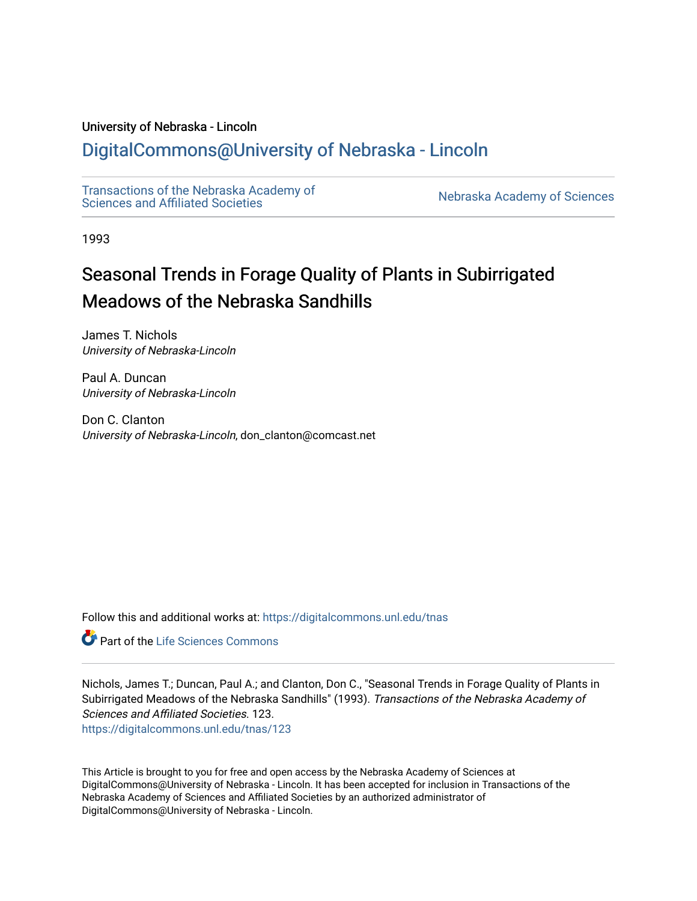# University of Nebraska - Lincoln

# [DigitalCommons@University of Nebraska - Lincoln](https://digitalcommons.unl.edu/)

[Transactions of the Nebraska Academy of](https://digitalcommons.unl.edu/tnas)  Transactions of the Nebraska Academy of Sciences<br>Sciences and Affiliated Societies

1993

# Seasonal Trends in Forage Quality of Plants in Subirrigated Meadows of the Nebraska Sandhills

James T. Nichols University of Nebraska-Lincoln

Paul A. Duncan University of Nebraska-Lincoln

Don C. Clanton University of Nebraska-Lincoln, don\_clanton@comcast.net

Follow this and additional works at: [https://digitalcommons.unl.edu/tnas](https://digitalcommons.unl.edu/tnas?utm_source=digitalcommons.unl.edu%2Ftnas%2F123&utm_medium=PDF&utm_campaign=PDFCoverPages) 

Part of the [Life Sciences Commons](http://network.bepress.com/hgg/discipline/1016?utm_source=digitalcommons.unl.edu%2Ftnas%2F123&utm_medium=PDF&utm_campaign=PDFCoverPages) 

Nichols, James T.; Duncan, Paul A.; and Clanton, Don C., "Seasonal Trends in Forage Quality of Plants in Subirrigated Meadows of the Nebraska Sandhills" (1993). Transactions of the Nebraska Academy of Sciences and Affiliated Societies. 123.

[https://digitalcommons.unl.edu/tnas/123](https://digitalcommons.unl.edu/tnas/123?utm_source=digitalcommons.unl.edu%2Ftnas%2F123&utm_medium=PDF&utm_campaign=PDFCoverPages) 

This Article is brought to you for free and open access by the Nebraska Academy of Sciences at DigitalCommons@University of Nebraska - Lincoln. It has been accepted for inclusion in Transactions of the Nebraska Academy of Sciences and Affiliated Societies by an authorized administrator of DigitalCommons@University of Nebraska - Lincoln.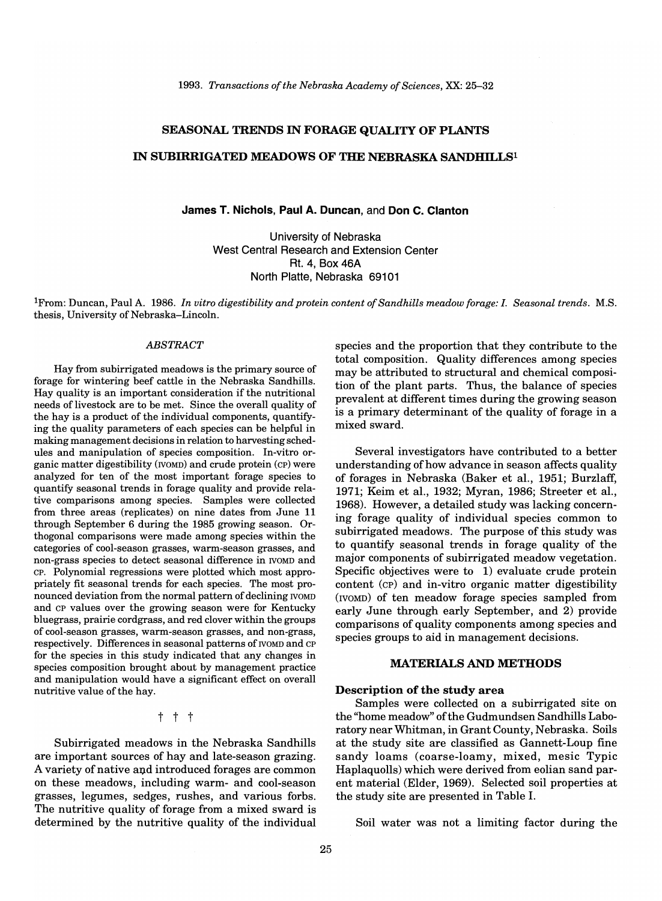# SEASONAL TRENDS IN FORAGE QUALITY OF PLANTS

# IN SUBIRRIGATED MEADOWS OF THE NEBRASKA SANDHILLS<sup>1</sup>

#### James T. Nichols, Paul A. Duncan, and Don C. Clanton

University of Nebraska West Central Research and Extension Center Rt. 4, Box 46A North Platte, Nebraska 69101

<sup>1</sup>From: Duncan, Paul A. 1986. *In vitro digestibility and protein content of Sandhills meadow forage:* 1. *Seasonal trends.* M.S. thesis, University of Nebraska-Lincoln.

#### *ABSTRACT*

Hay from subirrigated meadows is the primary source of forage for wintering beef cattle in the Nebraska Sandhills. Hay quality is an important consideration if the nutritional needs of livestock are to be met. Since the overall quality of the hay is a product of the individual components, quantifying the quality parameters of each species can be helpful in making management decisions in relation to harvesting schedules and manipulation of species composition. In-vitro organic matter digestibility (NOMD) and crude protein (cP) were analyzed for ten of the most important forage species to quantify seasonal trends in forage quality and provide relative comparisons among species. Samples were collected from three areas (replicates) on nine dates from June 11 through September 6 during the 1985 growing season. Orthogonal comparisons were made among species within the categories of cool-season grasses, warm-season grasses, and non-grass species to detect seasonal difference in NOMD and cp. Polynomial regressions were plotted which most appropriately fit seasonal trends for each species. The most pronounced deviation from the normal pattern of declining NOMD and CP values over the growing season were for Kentucky bluegrass, prairie cordgrass, and red clover within the groups of cool-season grasses, warm-season grasses, and non-grass, respectively. Differences in seasonal patterns of NOMD and CP for the species in this study indicated that any changes in species composition brought about by management practice and manipulation would have a significant effect on overall nutritive value of the hay.

# t t t

Subirrigated meadows in the Nebraska Sandhills are important sources of hay and late-season grazing. A variety of native and introduced forages are common on these meadows, including warm- and cool-season grasses, legumes, sedges, rushes, and various forbs. The nutritive quality of forage from a mixed sward is determined by the nutritive quality of the individual species and the proportion that they contribute to the total composition. Quality differences among species may be attributed to structural and chemical composition of the plant parts. Thus, the balance of species prevalent at different times during the growing season is a primary determinant of the quality of forage in a mixed sward.

Several investigators have contributed to a better understanding of how advance in season affects quality of forages in Nebraska (Baker et aI., 1951; Burzlaff, 1971; Keim et al., 1932; Myran, 1986; Streeter et al., 1968). However, a detailed study was lacking concerning forage quality of individual species common to subirrigated meadows. The purpose of this study was to quantify seasonal trends in forage quality of the major components of subirrigated meadow vegetation. Specific objectives were to 1) evaluate crude protein content (cp) and in-vitro organic matter digestibility (IVOMD) of ten meadow forage species sampled from early June through early September, and 2) provide comparisons of quality components among species and species groups to aid in management decisions.

#### MATERIALS AND METHODS

#### Description of the study area

Samples were collected on a subirrigated site on the "home meadow" of the Gudmundsen Sandhills Laboratory near Whitman, in Grant County, Nebraska. Soils at the study site are classified as Gannett-Loup fine sandy loams (coarse-loamy, mixed, mesic Typic Haplaquolls) which were derived from eolian sand parent material (Elder, 1969). Selected soil properties at the study site are presented in Table I.

Soil water was not a limiting factor during the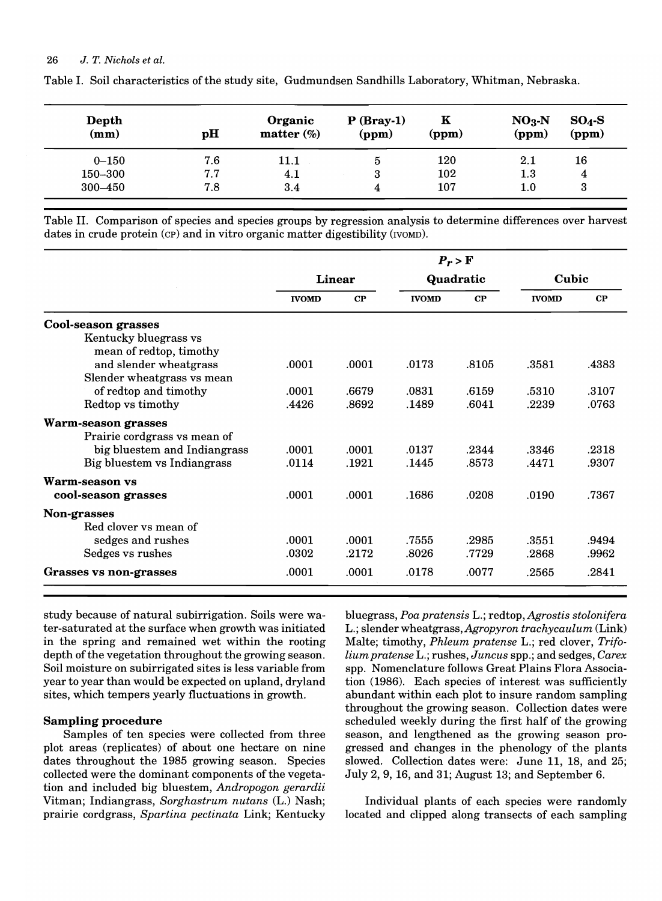| Depth<br>(mm) | pH  | Organic<br>matter $(\%)$ | $P(Bray-1)$<br>(ppm) | $\mathbf K$<br>(ppm) | $NO3$ -N<br>(ppm) | $SO_4-S$<br>(ppm) |  |
|---------------|-----|--------------------------|----------------------|----------------------|-------------------|-------------------|--|
| $0 - 150$     | 7.6 | $11.1\,$                 | b                    | 120                  | 2.1               | 16                |  |
| 150–300       | 7.7 | 4.1                      |                      | 102                  | $1.3\,$           | 4                 |  |
| 300-450       | 7.8 | 3.4                      | 4                    | $107\,$              | $1.0\,$           | 3                 |  |

Table I. Soil characteristics ofthe study site, Gudmundsen Sandhills Laboratory, Whitman, Nebraska.

Table II. Comparison of species and species groups by regression analysis to determine differences over harvest dates in crude protein (CP) and in vitro organic matter digestibility (IVOMD).

|                                                  | $P_r > F$     |       |              |       |              |       |  |
|--------------------------------------------------|---------------|-------|--------------|-------|--------------|-------|--|
|                                                  | <b>Linear</b> |       | Quadratic    |       | Cubic        |       |  |
|                                                  | <b>IVOMD</b>  | CP    | <b>IVOMD</b> | CP    | <b>IVOMD</b> | CP    |  |
| Cool-season grasses                              |               |       |              |       |              |       |  |
| Kentucky bluegrass vs<br>mean of redtop, timothy |               |       |              |       |              |       |  |
| and slender wheatgrass                           | .0001         | .0001 | .0173        | .8105 | .3581        | .4383 |  |
| Slender wheatgrass vs mean                       |               |       |              |       |              |       |  |
| of redtop and timothy                            | .0001         | .6679 | .0831        | .6159 | .5310        | .3107 |  |
| Redtop vs timothy                                | .4426         | .8692 | .1489        | .6041 | .2239        | .0763 |  |
| <b>Warm-season grasses</b>                       |               |       |              |       |              |       |  |
| Prairie cordgrass vs mean of                     |               |       |              |       |              |       |  |
| big bluestem and Indiangrass                     | .0001         | .0001 | .0137        | .2344 | .3346        | .2318 |  |
| Big bluestem vs Indiangrass                      | .0114         | .1921 | .1445        | .8573 | .4471        | .9307 |  |
| Warm-season vs                                   |               |       |              |       |              |       |  |
| cool-season grasses                              | .0001         | .0001 | .1686        | .0208 | .0190        | .7367 |  |
| Non-grasses                                      |               |       |              |       |              |       |  |
| Red clover vs mean of                            |               |       |              |       |              |       |  |
| sedges and rushes                                | .0001         | .0001 | .7555        | .2985 | .3551        | .9494 |  |
| Sedges vs rushes                                 | .0302         | .2172 | .8026        | .7729 | .2868        | .9962 |  |
| <b>Grasses vs non-grasses</b>                    | .0001         | .0001 | .0178        | .0077 | .2565        | .2841 |  |

study because of natural subirrigation. Soils were water-saturated at the surface when growth was initiated in the spring and remained wet within the rooting depth of the vegetation throughout the growing season. Soil moisture on subirrigated sites is less variable from year to year than would be expected on upland, dryland sites, which tempers yearly fluctuations in growth.

# Sampling procedure

Samples of ten species were collected from three plot areas (replicates) of about one hectare on nine dates throughout the 1985 growing season. Species collected were the dominant components of the vegetation and included big bluestem, *Andropogon gerardii*  Vitman; Indiangrass, *Sorghastrum nutans* (L.) Nash; prairie cordgrass, *Spartina pectinata* Link; Kentucky

bluegrass, *Poa pratensis* L.; redtop, *Agrostis stolonifera*  L.; slender wheatgrass, *Agropyron trachycaulum* (Link) Malte; timothy, *Phleum pratense* L.; red clover, *Trifolium pratense* L.; rushes, *Juncus* spp.; and sedges, *Carex*  spp. Nomenclature follows Great Plains Flora Association (1986). Each species of interest was sufficiently abundant within each plot to insure random sampling throughout the growing season. Collection dates were scheduled weekly during the first half of the growing season, and lengthened as the growing season progressed and changes in the phenology of the plants slowed. Collection dates were: June 11, 18, and 25; July 2,9, 16, and 31; August 13; and September 6.

Individual plants of each species were randomly located and clipped along transects of each sampling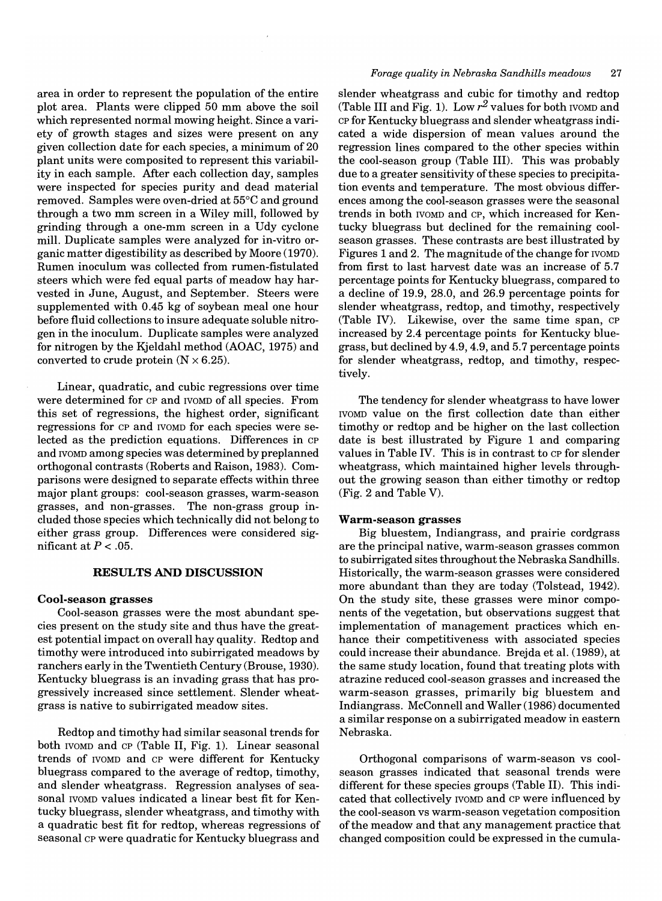area in order to represent the population of the entire plot area. Plants were clipped 50 mm above the soil which represented normal mowing height. Since a variety of growth stages and sizes were present on any given collection date for each species, a minimum of 20 plant units were composited to represent this variability in each sample. After each collection day, samples were inspected for species purity and dead material removed. Samples were oven-dried at 55°C and ground through a two mm screen in a Wiley mill, followed by grinding through a one-mm screen in a Udy cyclone mill. Duplicate samples were analyzed for in-vitro organic matter digestibility as described by Moore (1970). Rumen inoculum was collected from rumen-fistulated steers which were fed equal parts of meadow hay harvested in June, August, and September. Steers were supplemented with 0.45 kg of soybean meal one hour before fluid collections to insure adequate soluble nitrogen in the inoculum. Duplicate samples were analyzed for nitrogen by the Kjeldahl method (AOAC, 1975) and converted to crude protein  $(N \times 6.25)$ .

Linear, quadratic, and cubic regressions over time were determined for CP and IVOMD of all species. From this set of regressions, the highest order, significant regressions for CP and IVOMD for each species were selected as the prediction equations. Differences in CP and IVOMD among species was determined by preplanned orthogonal contrasts (Roberts and Raison, 1983). Comparisons were designed to separate effects within three major plant groups: cool-season grasses, warm-season grasses, and non-grasses. The non-grass group included those species which technically did not belong to either grass group. Differences were considered significant at  $P < .05$ .

#### **RESULTS AND DISCUSSION**

#### **Cool-season** grasses

Cool-season grasses were the most abundant species present on the study site and thus have the greatest potential impact on overall hay quality. Redtop and timothy were introduced into subirrigated meadows by ranchers early in the Twentieth Century (Brouse, 1930). Kentucky bluegrass is an invading grass that has progressively increased since settlement. Slender wheatgrass is native to subirrigated meadow sites.

Redtop and timothy had similar seasonal trends for both IVOMD and CP (Table II, Fig. 1). Linear seasonal trends of IVOMD and CP were different for Kentucky bluegrass compared to the average of redtop, timothy, and slender wheatgrass. Regression analyses of seasonal IVOMD values indicated a linear best fit for Kentucky bluegrass, slender wheatgrass, and timothy with a quadratic best fit for redtop, whereas regressions of seasonal CP were quadratic for Kentucky bluegrass and

#### *Forage quality in Nebraska Sandhills meadows* 27

slender wheatgrass and cubic for timothy and redtop (Table III and Fig. 1). Low  $r^2$  values for both IVOMD and CP for Kentucky bluegrass and slender wheatgrass indicated a wide dispersion of mean values around the regression lines compared to the other species within the cool-season group (Table III). This was probably due to a greater sensitivity of these species to precipitation events and temperature. The most obvious differences among the cool-season grasses were the seasonal trends in both IVOMD and CP, which increased for Kentucky bluegrass but declined for the remaining coolseason grasses. These contrasts are best illustrated by Figures 1 and 2. The magnitude of the change for IVOMD from first to last harvest date was an increase of 5.7 percentage points for Kentucky bluegrass, compared to a decline of 19.9, 28.0, and 26.9 percentage points for slender wheatgrass, redtop, and timothy, respectively (Table IV). Likewise, over the same time span, CP increased by 2.4 percentage points for Kentucky bluegrass, but declined by 4.9,4.9, and 5.7 percentage points for slender wheatgrass, redtop, and timothy, respectively.

The tendency for slender wheatgrass to have lower IVOMD value on the first collection date than either timothy or redtop and be higher on the last collection date is best illustrated by Figure 1 and comparing values in Table IV. This is in contrast to CP for slender wheatgrass, which maintained higher levels throughout the growing season than either timothy or redtop (Fig. 2 and Table V).

### **Warm-season** grasses

Big bluestem, Indiangrass, and prairie cordgrass are the principal native, warm-season grasses common to subirrigated sites throughout the Nebraska Sandhills. Historically, the warm-season grasses were considered more abundant than they are today (Tolstead, 1942). On the study site, these grasses were minor components of the vegetation, but observations suggest that implementation of management practices which enhance their competitiveness with associated species could increase their abundance. Brejda et al. (1989), at the same study location, found that treating plots with atrazine reduced cool-season grasses and increased the warm-season grasses, primarily big bluestem and Indiangrass. McConnell and Waller (1986) documented a similar response on a subirrigated meadow in eastern Nebraska.

Orthogonal comparisons of warm-season vs coolseason grasses indicated that seasonal trends were different for these species groups (Table II). This indicated that collectively IVOMD and CP were influenced by the cool-season vs warm-season vegetation composition of the meadow and that any management practice that changed composition could be expressed in the cumula-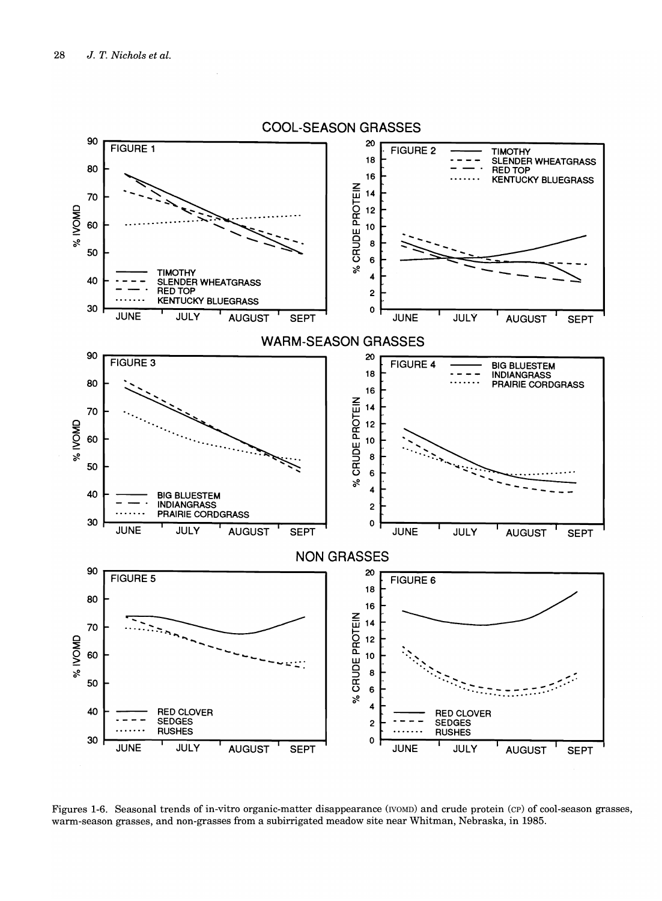

#### Figures 1-6. Seasonal trends of in-vitro organic-matter disappearance (IVOMD) and crude protein (cp) of cool-season grasses, warm-season grasses, and non-grasses from a subirrigated meadow site near Whitman, Nebraska, in 1985.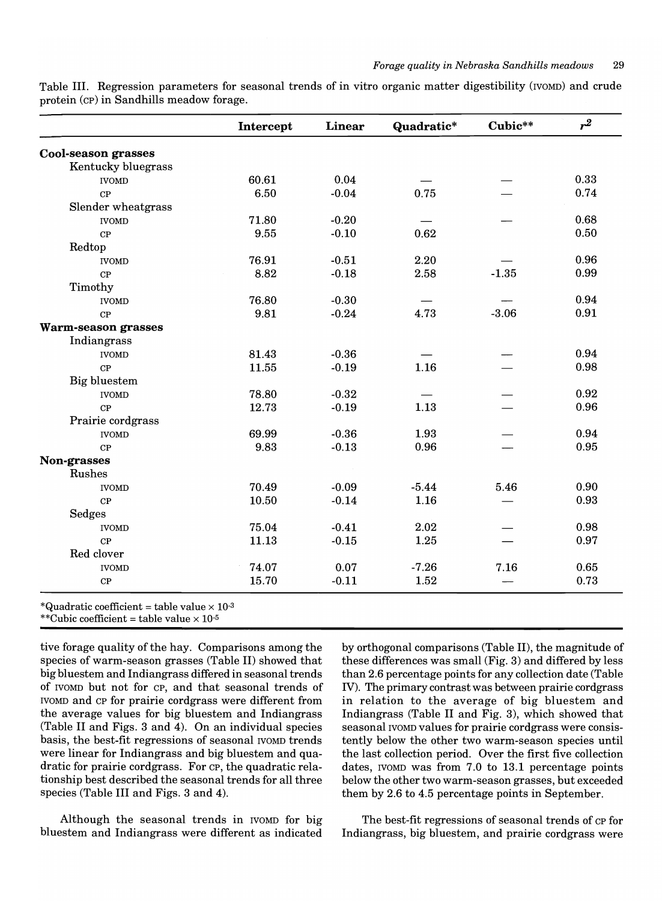|                            | Intercept | Linear  |         | Cubic** | $r^2$ |  |
|----------------------------|-----------|---------|---------|---------|-------|--|
| <b>Cool-season grasses</b> |           |         |         |         |       |  |
| Kentucky bluegrass         |           |         |         |         |       |  |
| <b>IVOMD</b>               | 60.61     | 0.04    |         |         | 0.33  |  |
| CP                         | 6.50      | $-0.04$ | 0.75    |         | 0.74  |  |
| Slender wheatgrass         |           |         |         |         |       |  |
| <b>IVOMD</b>               | 71.80     | $-0.20$ |         |         | 0.68  |  |
| CP                         | 9.55      | $-0.10$ | 0.62    |         | 0.50  |  |
| Redtop                     |           |         |         |         |       |  |
| <b>IVOMD</b>               | 76.91     | $-0.51$ | 2.20    |         | 0.96  |  |
| CP                         | 8.82      | $-0.18$ | 2.58    | $-1.35$ | 0.99  |  |
| Timothy                    |           |         |         |         |       |  |
| <b>IVOMD</b>               | 76.80     | $-0.30$ |         |         | 0.94  |  |
| CP                         | 9.81      | $-0.24$ | 4.73    | $-3.06$ | 0.91  |  |
| Warm-season grasses        |           |         |         |         |       |  |
| Indiangrass                |           |         |         |         |       |  |
| <b>IVOMD</b>               | 81.43     | $-0.36$ |         |         | 0.94  |  |
| CP                         | 11.55     | $-0.19$ | 1.16    |         | 0.98  |  |
| Big bluestem               |           |         |         |         |       |  |
| <b>IVOMD</b>               | 78.80     | $-0.32$ |         |         | 0.92  |  |
| CP                         | 12.73     | $-0.19$ | 1.13    |         | 0.96  |  |
| Prairie cordgrass          |           |         |         |         |       |  |
| <b>IVOMD</b>               | 69.99     | $-0.36$ | 1.93    |         | 0.94  |  |
| CP                         | 9.83      | $-0.13$ | 0.96    |         | 0.95  |  |
| Non-grasses                |           |         |         |         |       |  |
| Rushes                     |           |         |         |         |       |  |
| <b>IVOMD</b>               | 70.49     | $-0.09$ | $-5.44$ | 5.46    | 0.90  |  |
| CP                         | 10.50     | $-0.14$ | 1.16    |         | 0.93  |  |
| Sedges                     |           |         |         |         |       |  |
| <b>IVOMD</b>               | 75.04     | $-0.41$ | 2.02    |         | 0.98  |  |
| CP                         | 11.13     | $-0.15$ | 1.25    |         | 0.97  |  |
| Red clover                 |           |         |         |         |       |  |
| <b>IVOMD</b>               | 74.07     | 0.07    | $-7.26$ | 7.16    | 0.65  |  |
| CP                         | 15.70     | $-0.11$ | 1.52    |         | 0.73  |  |

Table III. Regression parameters for seasonal trends of in vitro organic matter digestibility (IVOMD) and crude protein (cp) in Sandhills meadow forage.

\*Quadratic coefficient = table value  $\times$  10<sup>-3</sup>

\*\*Cubic coefficient = table value  $\times$  10<sup>-5</sup>

tive forage quality of the hay. Comparisons among the species of warm-season grasses (Table II) showed that big bluestem and Indiangrass differed in seasonal trends of IVOMD but not for CP, and that seasonal trends of IVOMD and CP for prairie cordgrass were different from the average values for big bluestem and Indiangrass (Table II and Figs. 3 and 4). On an individual species basis, the best-fit regressions of seasonal IVOMD trends were linear for Indiangrass and big bluestem and quadratic for prairie cordgrass. For CP, the quadratic relationship best described the seasonal trends for all three species (Table III and Figs. 3 and 4).

Although the seasonal trends in IVOMD for big bluestem and Indiangrass were different as indicated

by orthogonal comparisons (Table II), the magnitude of these differences was small (Fig. 3) and differed by less than 2.6 percentage points for any collection date (Table IV). The primary contrast was between prairie cordgrass in relation to the average of big bluestem and Indiangrass (Table II and Fig. 3), which showed that seasonal IVOMD values for prairie cordgrass were consistently below the other two warm-season species until the last collection period. Over the first five collection dates, IVOMD was from 7.0 to 13.1 percentage points below the other two warm-season grasses, but exceeded them by 2.6 to 4.5 percentage points in September.

The best-fit regressions of seasonal trends of CP for Indiangrass, big bluestem, and prairie cordgrass were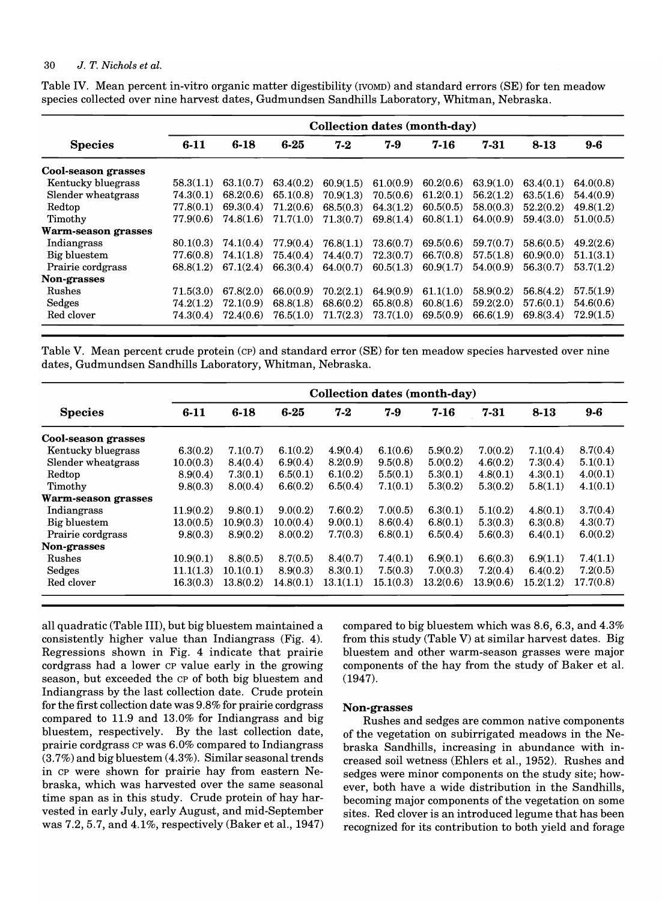|                            | Collection dates (month-day) |           |           |           |           |           |           |           |           |
|----------------------------|------------------------------|-----------|-----------|-----------|-----------|-----------|-----------|-----------|-----------|
| <b>Species</b>             | $6 - 11$                     | $6 - 18$  | $6 - 25$  | $7-2$     | $7-9$     | $7 - 16$  | 7-31      | $8 - 13$  | $9-6$     |
| <b>Cool-season grasses</b> |                              |           |           |           |           |           |           |           |           |
| Kentucky bluegrass         | 58.3(1.1)                    | 63.1(0.7) | 63.4(0.2) | 60.9(1.5) | 61.0(0.9) | 60.2(0.6) | 63.9(1.0) | 63.4(0.1) | 64.0(0.8) |
| Slender wheatgrass         | 74.3(0.1)                    | 68.2(0.6) | 65.1(0.8) | 70.9(1.3) | 70.5(0.6) | 61.2(0.1) | 56.2(1.2) | 63.5(1.6) | 54.4(0.9) |
| Redtop                     | 77.8(0.1)                    | 69.3(0.4) | 71.2(0.6) | 68.5(0.3) | 64.3(1.2) | 60.5(0.5) | 58.0(0.3) | 52.2(0.2) | 49.8(1.2) |
| Timothy                    | 77.9(0.6)                    | 74.8(1.6) | 71.7(1.0) | 71.3(0.7) | 69.8(1.4) | 60.8(1.1) | 64.0(0.9) | 59.4(3.0) | 51.0(0.5) |
| Warm-season grasses        |                              |           |           |           |           |           |           |           |           |
| Indiangrass                | 80.1(0.3)                    | 74.1(0.4) | 77.9(0.4) | 76.8(1.1) | 73.6(0.7) | 69.5(0.6) | 59.7(0.7) | 58.6(0.5) | 49.2(2.6) |
| Big bluestem               | 77.6(0.8)                    | 74.1(1.8) | 75.4(0.4) | 74.4(0.7) | 72.3(0.7) | 66.7(0.8) | 57.5(1.8) | 60.9(0.0) | 51.1(3.1) |
| Prairie cordgrass          | 68.8(1.2)                    | 67.1(2.4) | 66.3(0.4) | 64.0(0.7) | 60.5(1.3) | 60.9(1.7) | 54.0(0.9) | 56.3(0.7) | 53.7(1.2) |
| Non-grasses                |                              |           |           |           |           |           |           |           |           |
| Rushes                     | 71.5(3.0)                    | 67.8(2.0) | 66.0(0.9) | 70.2(2.1) | 64.9(0.9) | 61.1(1.0) | 58.9(0.2) | 56.8(4.2) | 57.5(1.9) |
| Sedges                     | 74.2(1.2)                    | 72.1(0.9) | 68.8(1.8) | 68.6(0.2) | 65.8(0.8) | 60.8(1.6) | 59.2(2.0) | 57.6(0.1) | 54.6(0.6) |
| Red clover                 | 74.3(0.4)                    | 72.4(0.6) | 76.5(1.0) | 71.7(2.3) | 73.7(1.0) | 69.5(0.9) | 66.6(1.9) | 69.8(3.4) | 72.9(1.5) |

Table IV. Mean percent in-vitro organic matter digestibility (IVOMD) and standard errors (SE) for ten meadow species collected over nine harvest dates, Gudmundsen Sandhills Laboratory, Whitman, Nebraska.

Table V. Mean percent crude protein (cp) and standard error (SE) for ten meadow species harvested over nine dates, Gudmundsen Sandhills Laboratory, Whitman, Nebraska.

|                            | Collection dates (month-day) |           |           |           |           |           |           |           |           |
|----------------------------|------------------------------|-----------|-----------|-----------|-----------|-----------|-----------|-----------|-----------|
| <b>Species</b>             | $6 - 11$                     | $6 - 18$  | $6 - 25$  | $7 - 2$   | 7-9       | $7 - 16$  | 7-31      | $8 - 13$  | $9-6$     |
| Cool-season grasses        |                              |           |           |           |           |           |           |           |           |
| Kentucky bluegrass         | 6.3(0.2)                     | 7.1(0.7)  | 6.1(0.2)  | 4.9(0.4)  | 6.1(0.6)  | 5.9(0.2)  | 7.0(0.2)  | 7.1(0.4)  | 8.7(0.4)  |
| Slender wheatgrass         | 10.0(0.3)                    | 8.4(0.4)  | 6.9(0.4)  | 8.2(0.9)  | 9.5(0.8)  | 5.0(0.2)  | 4.6(0.2)  | 7.3(0.4)  | 5.1(0.1)  |
| Redtop                     | 8.9(0.4)                     | 7.3(0.1)  | 6.5(0.1)  | 6.1(0.2)  | 5.5(0.1)  | 5.3(0.1)  | 4.8(0.1)  | 4.3(0.1)  | 4.0(0.1)  |
| Timothy                    | 9.8(0.3)                     | 8.0(0.4)  | 6.6(0.2)  | 6.5(0.4)  | 7.1(0.1)  | 5.3(0.2)  | 5.3(0.2)  | 5.8(1.1)  | 4.1(0.1)  |
| <b>Warm-season grasses</b> |                              |           |           |           |           |           |           |           |           |
| Indiangrass                | 11.9(0.2)                    | 9.8(0.1)  | 9.0(0.2)  | 7.6(0.2)  | 7.0(0.5)  | 6.3(0.1)  | 5.1(0.2)  | 4.8(0.1)  | 3.7(0.4)  |
| Big bluestem               | 13.0(0.5)                    | 10.9(0.3) | 10.0(0.4) | 9.0(0.1)  | 8.6(0.4)  | 6.8(0.1)  | 5.3(0.3)  | 6.3(0.8)  | 4.3(0.7)  |
| Prairie cordgrass          | 9.8(0.3)                     | 8.9(0.2)  | 8.0(0.2)  | 7.7(0.3)  | 6.8(0.1)  | 6.5(0.4)  | 5.6(0.3)  | 6.4(0.1)  | 6.0(0.2)  |
| Non-grasses                |                              |           |           |           |           |           |           |           |           |
| Rushes                     | 10.9(0.1)                    | 8.8(0.5)  | 8.7(0.5)  | 8.4(0.7)  | 7.4(0.1)  | 6.9(0.1)  | 6.6(0.3)  | 6.9(1.1)  | 7.4(1.1)  |
| Sedges                     | 11.1(1.3)                    | 10.1(0.1) | 8.9(0.3)  | 8.3(0.1)  | 7.5(0.3)  | 7.0(0.3)  | 7.2(0.4)  | 6.4(0.2)  | 7.2(0.5)  |
| Red clover                 | 16.3(0.3)                    | 13.8(0.2) | 14.8(0.1) | 13.1(1.1) | 15.1(0.3) | 13.2(0.6) | 13.9(0.6) | 15.2(1.2) | 17.7(0.8) |

all quadratic (Table III), but big bluestem maintained a consistently higher value than Indiangrass (Fig. 4). Regressions shown in Fig. 4 indicate that prairie cordgrass had a lower CP value early in the growing season, but exceeded the CP of both big bluestem and Indiangrass by the last collection date. Crude protein for the first collection date was 9.8% for prairie cordgrass compared to 11.9 and 13.0% for Indiangrass and big bluestem, respectively. By the last collection date, prairie cordgrass CP was 6.0% compared to Indiangrass  $(3.7%)$  and big bluestem  $(4.3%)$ . Similar seasonal trends in CP were shown for prairie hay from eastern Nebraska, which was harvested over the same seasonal time span as in this study. Crude protein of hay harvested in early July, early August, and mid-September was 7.2, 5.7, and 4.1%, respectively (Baker et aI., 1947) compared to big bluestem which was 8.6, 6.3, and 4.3% from this study (Table V) at similar harvest dates. Big bluestem and other warm-season grasses were major components of the hay from the study of Baker et ai. (1947).

# Non-grasses

Rushes and sedges are common native components of the vegetation on subirrigated meadows in the Nebraska Sandhills, increasing in abundance with increased soil wetness (Ehlers et aI., 1952). Rushes and sedges were minor components on the study site; however, both have a wide distribution in the Sandhills, becoming major components of the vegetation on some sites. Red clover is an introduced legume that has been recognized for its contribution to both yield and forage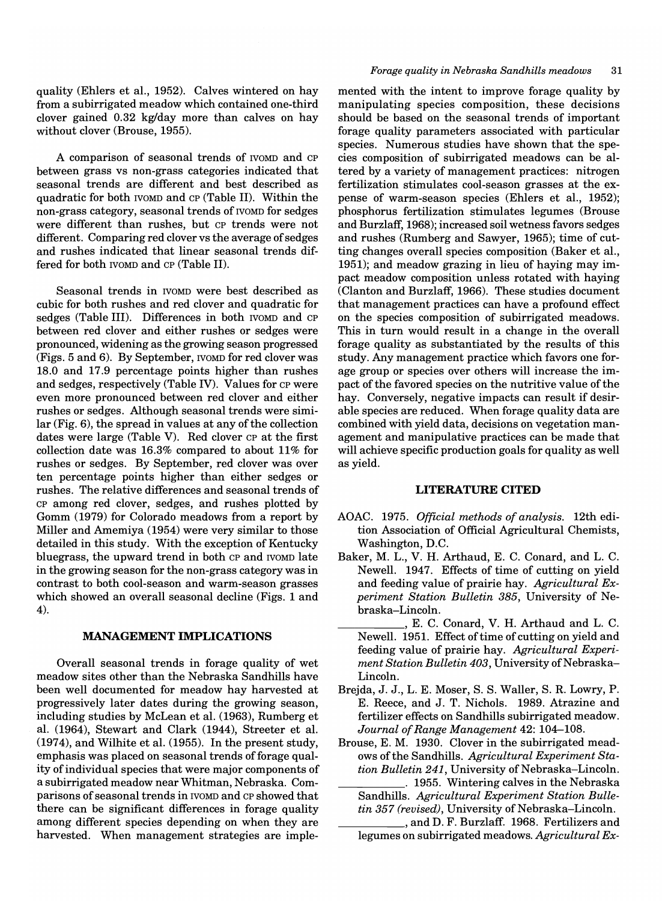quality (Ehlers et aI., 1952). Calves wintered on hay from a subirrigated meadow which contained one-third clover gained 0.32 kg/day more than calves on hay without clover (Brouse, 1955).

A comparison of seasonal trends of IVOMD and CP between grass vs non-grass categories indicated that seasonal trends are different and best described as quadratic for both IVOMD and CP (Table II). Within the non-grass category, seasonal trends of IVOMD for sedges were different than rushes, but CP trends were not different. Comparing red clover vs the average of sedges and rushes indicated that linear seasonal trends differed for both IVOMD and CP (Table II).

Seasonal trends in IVOMD were best described as cubic for both rushes and red clover and quadratic for sedges (Table III). Differences in both rvomp and CP between red clover and either rushes or sedges were pronounced, widening as the growing season progressed (Figs. 5 and 6). By September, IVOMD for red clover was 18.0 and 17.9 percentage points higher than rushes and sedges, respectively (Table IV). Values for CP were even more pronounced between red clover and either rushes or sedges. Although seasonal trends were similar (Fig. 6), the spread in values at any of the collection dates were large (Table V). Red clover CP at the first collection date was 16.3% compared to about 11% for rushes or sedges. By September, red clover was over ten percentage points higher than either sedges or rushes. The relative differences and seasonal trends of CP among red clover, sedges, and rushes plotted by Gomm (1979) for Colorado meadows from a report by Miller and Amemiya (1954) were very similar to those detailed in this study. With the exception of Kentucky bluegrass, the upward trend in both CP and IVOMD late in the growing season for the non-grass category was in contrast to both cool-season and warm-season grasses which showed an overall seasonal decline (Figs. 1 and 4).

#### **MANAGEMENT IMPLICATIONS**

Overall seasonal trends in forage quality of wet meadow sites other than the Nebraska Sandhills have been well documented for meadow hay harvested at progressively later dates during the growing season, including studies by McLean et aI. (1963), Rumberg et aI. (1964), Stewart and Clark (1944), Streeter et aI. (1974), and Wilhite et aI. (1955). In the present study, emphasis was placed on seasonal trends of forage quality of individual species that were major components of a subirrigated meadow near Whitman, Nebraska. Comparisons of seasonal trends in IVOMD and CP showed that there can be significant differences in forage quality among different species depending on when they are harvested. When management strategies are imple-

#### *Forage quality in Nebraska Sandhills meadows 31*

mented with the intent to improve forage quality by manipulating species composition, these decisions should be based on the seasonal trends of important forage quality parameters associated with particular species. Numerous studies have shown that the species composition of subirrigated meadows can be altered by a variety of management practices: nitrogen fertilization stimulates cool-season grasses at the expense of warm-season species (Ehlers et aI., 1952); phosphorus fertilization stimulates legumes (Brouse and Burzlaff, 1968); increased soil wetness favors sedges and rushes (Rumberg and Sawyer, 1965); time of cutting changes overall species composition (Baker et aI., 1951); and meadow grazing in lieu of haying may impact meadow composition unless rotated with haying (Clanton and Burzlaff, 1966). These studies document that management practices can have a profound effect on the species composition of subirrigated meadows. This in turn would result in a change in the overall forage quality as substantiated by the results of this study. Any management practice which favors one forage group or species over others will increase the impact of the favored species on the nutritive value of the hay. Conversely, negative impacts can result if desirable species are reduced. When forage quality data are combined with yield data, decisions on vegetation management and manipulative practices can be made that will achieve specific production goals for quality as well as yield.

# **LITERATURE CITED**

- AOAC. 1975. *Official methods of analysis.* 12th edition Association of Official Agricultural Chemists, Washington, D.C.
- Baker, M. L., V. H. Arthaud, E. C. Conard, and L. C. Newell. 1947. Effects of time of cutting on yield and feeding value of prairie hay. *Agricultural Experiment Station Bulletin* 385, University of Nebraska-Lincoln.
- \_\_\_\_\_ , E. C. Conard, V. H. Arthaud and L. C. Newell. 1951. Effect of time of cutting on yield and feeding value of prairie hay. *Agricultural Experi*ment Station Bulletin 403, University of Nebraska-Lincoln.
- Brejda, J. J., L. E. Moser, S. S. Waller, S. R. Lowry, P. E. Reece, and J. T. Nichols. 1989. Atrazine and fertilizer effects on Sandhills subirrigated meadow. *Journal of Range Management* 42: 104-108.
- Brouse, E. M. 1930. Clover in the subirrigated meadows of the Sandhills. *Agricultural Experiment Station Bulletin* 241, University of Nebraska-Lincoln.
- \_\_\_\_\_ . 1955. Wintering calves in the Nebraska Sandhills. *Agricultural Experiment Station Bulletin 357 (revised)*, University of Nebraska–Lincoln.<br>
\_\_\_\_\_\_\_\_\_\_\_\_\_, and D. F. Burzlaff. 1968. Fertilizers and
	- legumes on subirrigated meadows. *Agricultural Ex-*